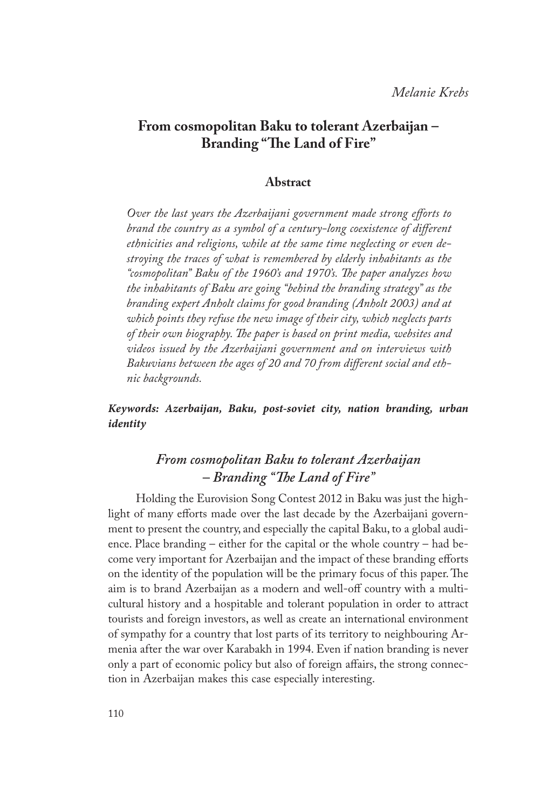## **From cosmopolitan Baku to tolerant Azerbaijan – Branding "The Land of Fire"**

### **Abstract**

*Over the last years the Azerbaijani government made strong efforts to brand the country as a symbol of a century-long coexistence of different ethnicities and religions, while at the same time neglecting or even destroying the traces of what is remembered by elderly inhabitants as the "cosmopolitan" Baku of the 1960's and 1970's. The paper analyzes how the inhabitants of Baku are going "behind the branding strategy" as the branding expert Anholt claims for good branding (Anholt 2003) and at which points they refuse the new image of their city, which neglects parts of their own biography. The paper is based on print media, websites and videos issued by the Azerbaijani government and on interviews with Bakuvians between the ages of 20 and 70 from different social and ethnic backgrounds.*

### *Keywords: Azerbaijan, Baku, post-soviet city, nation branding, urban identity*

# *From cosmopolitan Baku to tolerant Azerbaijan – Branding "The Land of Fire"*

Holding the Eurovision Song Contest 2012 in Baku was just the highlight of many efforts made over the last decade by the Azerbaijani government to present the country, and especially the capital Baku, to a global audience. Place branding – either for the capital or the whole country – had become very important for Azerbaijan and the impact of these branding efforts on the identity of the population will be the primary focus of this paper. The aim is to brand Azerbaijan as a modern and well-off country with a multicultural history and a hospitable and tolerant population in order to attract tourists and foreign investors, as well as create an international environment of sympathy for a country that lost parts of its territory to neighbouring Armenia after the war over Karabakh in 1994. Even if nation branding is never only a part of economic policy but also of foreign affairs, the strong connection in Azerbaijan makes this case especially interesting.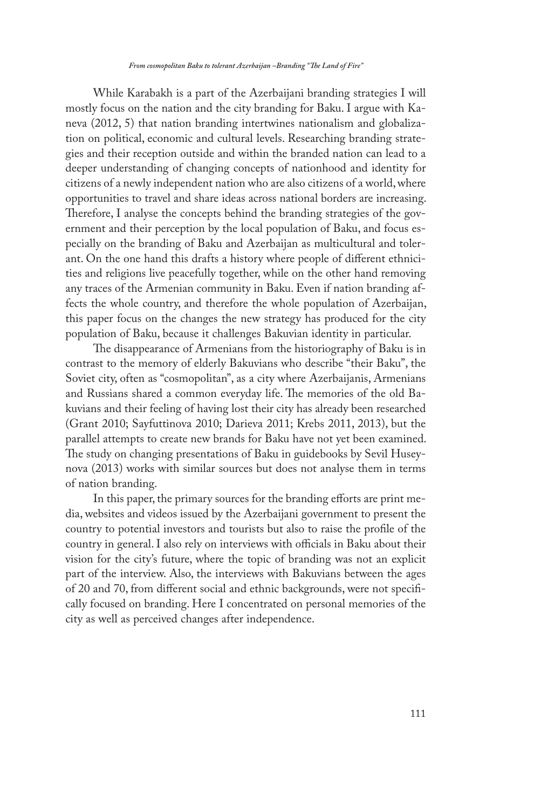*From cosmopolitan Baku to tolerant Azerbaijan –Branding "The Land of Fire"* 

While Karabakh is a part of the Azerbaijani branding strategies I will mostly focus on the nation and the city branding for Baku. I argue with Kaneva (2012, 5) that nation branding intertwines nationalism and globalization on political, economic and cultural levels. Researching branding strategies and their reception outside and within the branded nation can lead to a deeper understanding of changing concepts of nationhood and identity for citizens of a newly independent nation who are also citizens of a world, where opportunities to travel and share ideas across national borders are increasing. Therefore, I analyse the concepts behind the branding strategies of the government and their perception by the local population of Baku, and focus especially on the branding of Baku and Azerbaijan as multicultural and tolerant. On the one hand this drafts a history where people of different ethnicities and religions live peacefully together, while on the other hand removing any traces of the Armenian community in Baku. Even if nation branding affects the whole country, and therefore the whole population of Azerbaijan, this paper focus on the changes the new strategy has produced for the city population of Baku, because it challenges Bakuvian identity in particular.

The disappearance of Armenians from the historiography of Baku is in contrast to the memory of elderly Bakuvians who describe "their Baku", the Soviet city, often as "cosmopolitan", as a city where Azerbaijanis, Armenians and Russians shared a common everyday life. The memories of the old Bakuvians and their feeling of having lost their city has already been researched (Grant 2010; Sayfuttinova 2010; Darieva 2011; Krebs 2011, 2013), but the parallel attempts to create new brands for Baku have not yet been examined. The study on changing presentations of Baku in guidebooks by Sevil Huseynova (2013) works with similar sources but does not analyse them in terms of nation branding.

In this paper, the primary sources for the branding efforts are print media, websites and videos issued by the Azerbaijani government to present the country to potential investors and tourists but also to raise the profile of the country in general. I also rely on interviews with officials in Baku about their vision for the city's future, where the topic of branding was not an explicit part of the interview. Also, the interviews with Bakuvians between the ages of 20 and 70, from different social and ethnic backgrounds, were not specifically focused on branding. Here I concentrated on personal memories of the city as well as perceived changes after independence.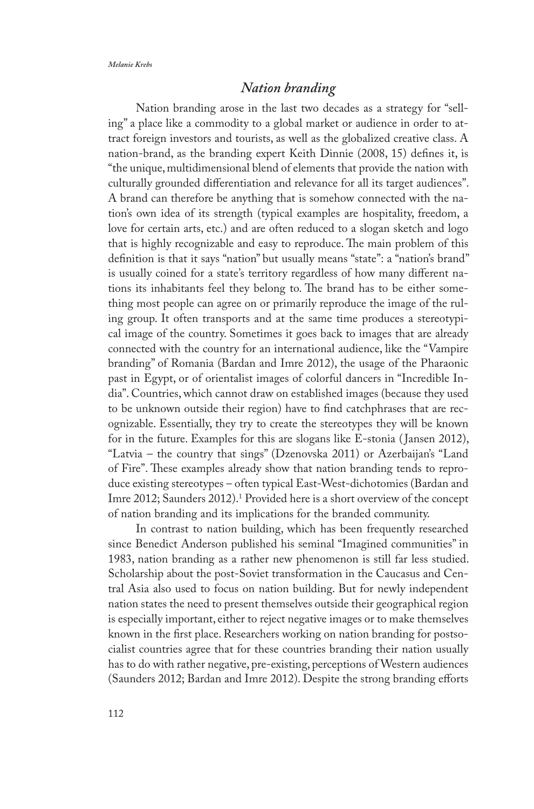## *Nation branding*

Nation branding arose in the last two decades as a strategy for "selling" a place like a commodity to a global market or audience in order to attract foreign investors and tourists, as well as the globalized creative class. A nation-brand, as the branding expert Keith Dinnie (2008, 15) defines it, is "the unique, multidimensional blend of elements that provide the nation with culturally grounded differentiation and relevance for all its target audiences". A brand can therefore be anything that is somehow connected with the nation's own idea of its strength (typical examples are hospitality, freedom, a love for certain arts, etc.) and are often reduced to a slogan sketch and logo that is highly recognizable and easy to reproduce. The main problem of this definition is that it says "nation" but usually means "state": a "nation's brand" is usually coined for a state's territory regardless of how many different nations its inhabitants feel they belong to. The brand has to be either something most people can agree on or primarily reproduce the image of the ruling group. It often transports and at the same time produces a stereotypical image of the country. Sometimes it goes back to images that are already connected with the country for an international audience, like the "Vampire branding" of Romania (Bardan and Imre 2012), the usage of the Pharaonic past in Egypt, or of orientalist images of colorful dancers in "Incredible India". Countries, which cannot draw on established images (because they used to be unknown outside their region) have to find catchphrases that are recognizable. Essentially, they try to create the stereotypes they will be known for in the future. Examples for this are slogans like E-stonia ( Jansen 2012), "Latvia – the country that sings" (Dzenovska 2011) or Azerbaijan's "Land of Fire". These examples already show that nation branding tends to reproduce existing stereotypes – often typical East-West-dichotomies (Bardan and Imre 2012; Saunders 2012).1 Provided here is a short overview of the concept of nation branding and its implications for the branded community.

In contrast to nation building, which has been frequently researched since Benedict Anderson published his seminal "Imagined communities" in 1983, nation branding as a rather new phenomenon is still far less studied. Scholarship about the post-Soviet transformation in the Caucasus and Central Asia also used to focus on nation building. But for newly independent nation states the need to present themselves outside their geographical region is especially important, either to reject negative images or to make themselves known in the first place. Researchers working on nation branding for postsocialist countries agree that for these countries branding their nation usually has to do with rather negative, pre-existing, perceptions of Western audiences (Saunders 2012; Bardan and Imre 2012). Despite the strong branding efforts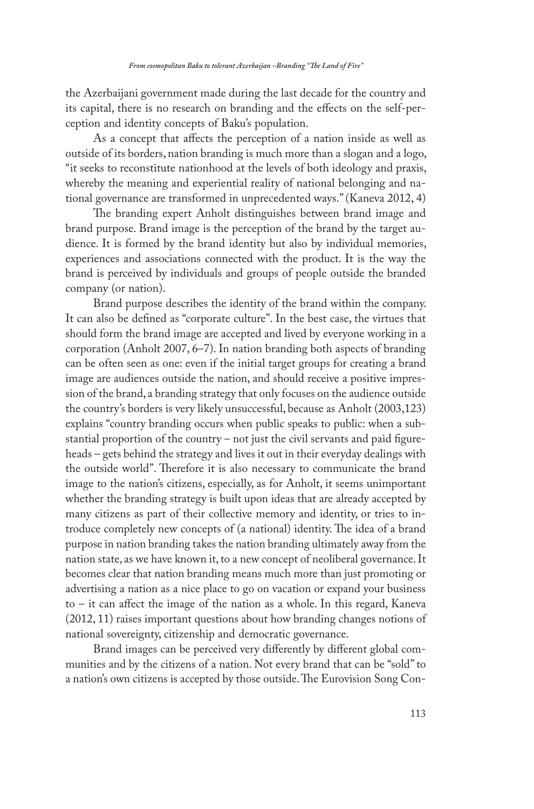the Azerbaijani government made during the last decade for the country and its capital, there is no research on branding and the effects on the self-perception and identity concepts of Baku's population.

As a concept that affects the perception of a nation inside as well as outside of its borders, nation branding is much more than a slogan and a logo, "it seeks to reconstitute nationhood at the levels of both ideology and praxis, whereby the meaning and experiential reality of national belonging and national governance are transformed in unprecedented ways." (Kaneva 2012, 4)

The branding expert Anholt distinguishes between brand image and brand purpose. Brand image is the perception of the brand by the target audience. It is formed by the brand identity but also by individual memories, experiences and associations connected with the product. It is the way the brand is perceived by individuals and groups of people outside the branded company (or nation).

Brand purpose describes the identity of the brand within the company. It can also be defined as "corporate culture". In the best case, the virtues that should form the brand image are accepted and lived by everyone working in a corporation (Anholt 2007, 6–7). In nation branding both aspects of branding can be often seen as one: even if the initial target groups for creating a brand image are audiences outside the nation, and should receive a positive impression of the brand, a branding strategy that only focuses on the audience outside the country's borders is very likely unsuccessful, because as Anholt (2003,123) explains "country branding occurs when public speaks to public: when a substantial proportion of the country – not just the civil servants and paid figureheads – gets behind the strategy and lives it out in their everyday dealings with the outside world". Therefore it is also necessary to communicate the brand image to the nation's citizens, especially, as for Anholt, it seems unimportant whether the branding strategy is built upon ideas that are already accepted by many citizens as part of their collective memory and identity, or tries to introduce completely new concepts of (a national) identity. The idea of a brand purpose in nation branding takes the nation branding ultimately away from the nation state, as we have known it, to a new concept of neoliberal governance. It becomes clear that nation branding means much more than just promoting or advertising a nation as a nice place to go on vacation or expand your business to – it can affect the image of the nation as a whole. In this regard, Kaneva (2012, 11) raises important questions about how branding changes notions of national sovereignty, citizenship and democratic governance.

Brand images can be perceived very differently by different global communities and by the citizens of a nation. Not every brand that can be "sold" to a nation's own citizens is accepted by those outside. The Eurovision Song Con-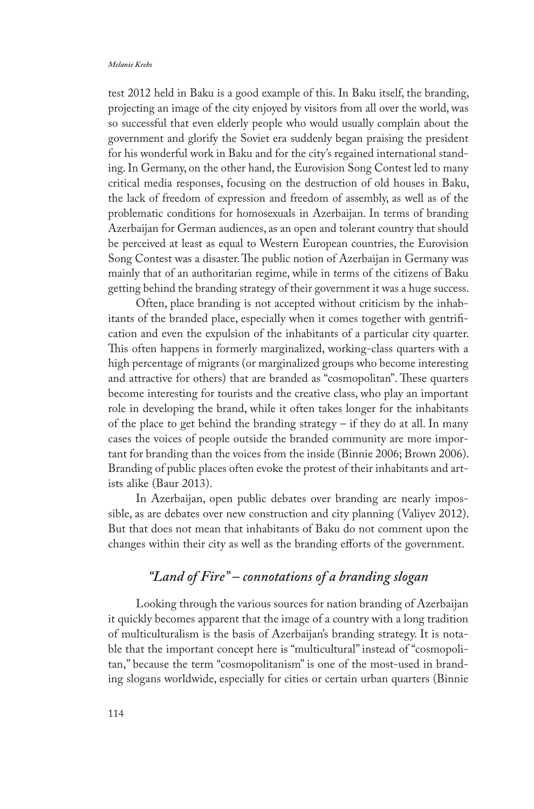test 2012 held in Baku is a good example of this. In Baku itself, the branding, projecting an image of the city enjoyed by visitors from all over the world, was so successful that even elderly people who would usually complain about the government and glorify the Soviet era suddenly began praising the president for his wonderful work in Baku and for the city's regained international standing. In Germany, on the other hand, the Eurovision Song Contest led to many critical media responses, focusing on the destruction of old houses in Baku, the lack of freedom of expression and freedom of assembly, as well as of the problematic conditions for homosexuals in Azerbaijan. In terms of branding Azerbaijan for German audiences, as an open and tolerant country that should be perceived at least as equal to Western European countries, the Eurovision Song Contest was a disaster. The public notion of Azerbaijan in Germany was mainly that of an authoritarian regime, while in terms of the citizens of Baku getting behind the branding strategy of their government it was a huge success.

Often, place branding is not accepted without criticism by the inhabitants of the branded place, especially when it comes together with gentrification and even the expulsion of the inhabitants of a particular city quarter. This often happens in formerly marginalized, working-class quarters with a high percentage of migrants (or marginalized groups who become interesting and attractive for others) that are branded as "cosmopolitan". These quarters become interesting for tourists and the creative class, who play an important role in developing the brand, while it often takes longer for the inhabitants of the place to get behind the branding strategy – if they do at all. In many cases the voices of people outside the branded community are more important for branding than the voices from the inside (Binnie 2006; Brown 2006). Branding of public places often evoke the protest of their inhabitants and artists alike (Baur 2013).

In Azerbaijan, open public debates over branding are nearly impossible, as are debates over new construction and city planning (Valiyev 2012). But that does not mean that inhabitants of Baku do not comment upon the changes within their city as well as the branding efforts of the government.

## *"Land of Fire" – connotations of a branding slogan*

Looking through the various sources for nation branding of Azerbaijan it quickly becomes apparent that the image of a country with a long tradition of multiculturalism is the basis of Azerbaijan's branding strategy. It is notable that the important concept here is "multicultural" instead of "cosmopolitan," because the term "cosmopolitanism" is one of the most-used in branding slogans worldwide, especially for cities or certain urban quarters (Binnie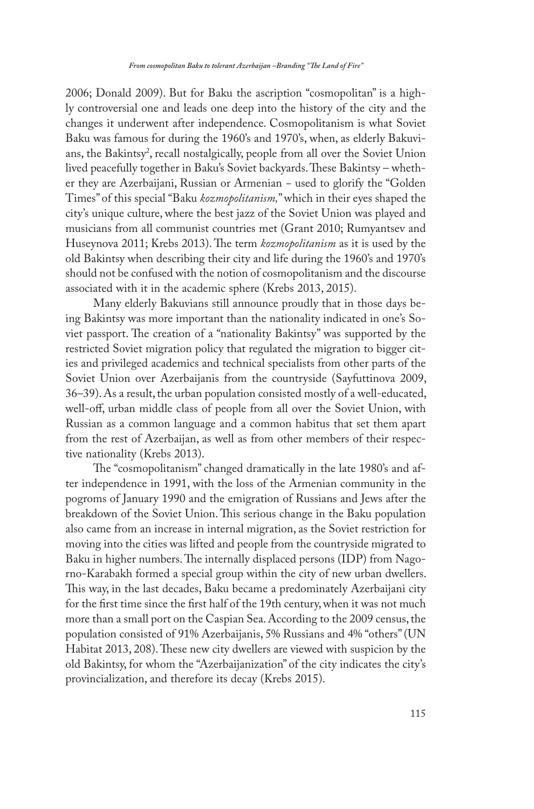2006; Donald 2009). But for Baku the ascription "cosmopolitan" is a highly controversial one and leads one deep into the history of the city and the changes it underwent after independence. Cosmopolitanism is what Soviet Baku was famous for during the 1960's and 1970's, when, as elderly Bakuvians, the Bakintsy<sup>2</sup>, recall nostalgically, people from all over the Soviet Union lived peacefully together in Baku's Soviet backyards. These Bakintsy – whether they are Azerbaijani, Russian or Armenian − used to glorify the "Golden Times" of this special "Baku *kozmopolitanism,*" which in their eyes shaped the city's unique culture, where the best jazz of the Soviet Union was played and musicians from all communist countries met (Grant 2010; Rumyantsev and Huseynova 2011; Krebs 2013). The term *kozmopolitanism* as it is used by the old Bakintsy when describing their city and life during the 1960's and 1970's should not be confused with the notion of cosmopolitanism and the discourse associated with it in the academic sphere (Krebs 2013, 2015).

Many elderly Bakuvians still announce proudly that in those days being Bakintsy was more important than the nationality indicated in one's Soviet passport. The creation of a "nationality Bakintsy" was supported by the restricted Soviet migration policy that regulated the migration to bigger cities and privileged academics and technical specialists from other parts of the Soviet Union over Azerbaijanis from the countryside (Sayfuttinova 2009, 36–39). As a result, the urban population consisted mostly of a well-educated, well-off, urban middle class of people from all over the Soviet Union, with Russian as a common language and a common habitus that set them apart from the rest of Azerbaijan, as well as from other members of their respective nationality (Krebs 2013).

The "cosmopolitanism" changed dramatically in the late 1980's and after independence in 1991, with the loss of the Armenian community in the pogroms of January 1990 and the emigration of Russians and Jews after the breakdown of the Soviet Union. This serious change in the Baku population also came from an increase in internal migration, as the Soviet restriction for moving into the cities was lifted and people from the countryside migrated to Baku in higher numbers. The internally displaced persons (IDP) from Nagorno-Karabakh formed a special group within the city of new urban dwellers. This way, in the last decades, Baku became a predominately Azerbaijani city for the first time since the first half of the 19th century, when it was not much more than a small port on the Caspian Sea. According to the 2009 census, the population consisted of 91% Azerbaijanis, 5% Russians and 4% "others" (UN Habitat 2013, 208). These new city dwellers are viewed with suspicion by the old Bakintsy, for whom the "Azerbaijanization" of the city indicates the city's provincialization, and therefore its decay (Krebs 2015).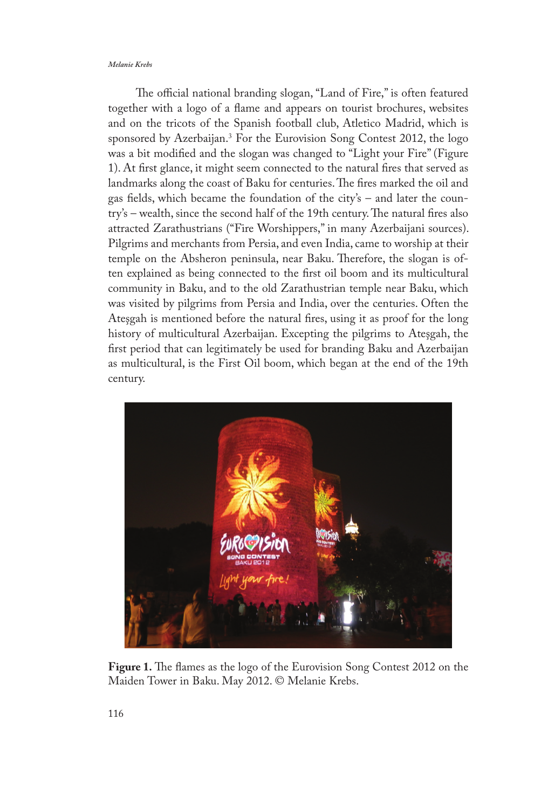The official national branding slogan, "Land of Fire," is often featured together with a logo of a flame and appears on tourist brochures, websites and on the tricots of the Spanish football club, Atletico Madrid, which is sponsored by Azerbaijan.<sup>3</sup> For the Eurovision Song Contest 2012, the logo was a bit modified and the slogan was changed to "Light your Fire" (Figure 1). At first glance, it might seem connected to the natural fires that served as landmarks along the coast of Baku for centuries. The fires marked the oil and gas fields, which became the foundation of the city's – and later the country's – wealth, since the second half of the 19th century. The natural fires also attracted Zarathustrians ("Fire Worshippers," in many Azerbaijani sources). Pilgrims and merchants from Persia, and even India, came to worship at their temple on the Absheron peninsula, near Baku. Therefore, the slogan is often explained as being connected to the first oil boom and its multicultural community in Baku, and to the old Zarathustrian temple near Baku, which was visited by pilgrims from Persia and India, over the centuries. Often the Ateşgah is mentioned before the natural fires, using it as proof for the long history of multicultural Azerbaijan. Excepting the pilgrims to Ateşgah, the first period that can legitimately be used for branding Baku and Azerbaijan as multicultural, is the First Oil boom, which began at the end of the 19th century.



**Figure 1.** The flames as the logo of the Eurovision Song Contest 2012 on the Maiden Tower in Baku. May 2012. © Melanie Krebs.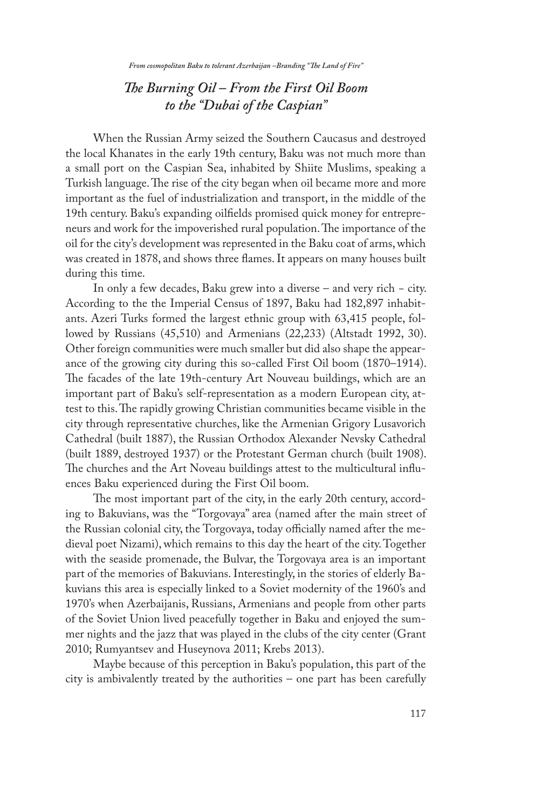## *The Burning Oil – From the First Oil Boom to the "Dubai of the Caspian"*

When the Russian Army seized the Southern Caucasus and destroyed the local Khanates in the early 19th century, Baku was not much more than a small port on the Caspian Sea, inhabited by Shiite Muslims, speaking a Turkish language. The rise of the city began when oil became more and more important as the fuel of industrialization and transport, in the middle of the 19th century. Baku's expanding oilfields promised quick money for entrepreneurs and work for the impoverished rural population. The importance of the oil for the city's development was represented in the Baku coat of arms, which was created in 1878, and shows three flames. It appears on many houses built during this time.

In only a few decades, Baku grew into a diverse – and very rich − city. According to the the Imperial Census of 1897, Baku had 182,897 inhabitants. Azeri Turks formed the largest ethnic group with 63,415 people, followed by Russians (45,510) and Armenians (22,233) (Altstadt 1992, 30). Other foreign communities were much smaller but did also shape the appearance of the growing city during this so-called First Oil boom (1870–1914). The facades of the late 19th-century Art Nouveau buildings, which are an important part of Baku's self-representation as a modern European city, attest to this. The rapidly growing Christian communities became visible in the city through representative churches, like the Armenian Grigory Lusavorich Cathedral (built 1887), the Russian Orthodox Alexander Nevsky Cathedral (built 1889, destroyed 1937) or the Protestant German church (built 1908). The churches and the Art Noveau buildings attest to the multicultural influences Baku experienced during the First Oil boom.

The most important part of the city, in the early 20th century, according to Bakuvians, was the "Torgovaya" area (named after the main street of the Russian colonial city, the Torgovaya, today officially named after the medieval poet Nizami), which remains to this day the heart of the city. Together with the seaside promenade, the Bulvar, the Torgovaya area is an important part of the memories of Bakuvians. Interestingly, in the stories of elderly Bakuvians this area is especially linked to a Soviet modernity of the 1960's and 1970's when Azerbaijanis, Russians, Armenians and people from other parts of the Soviet Union lived peacefully together in Baku and enjoyed the summer nights and the jazz that was played in the clubs of the city center (Grant 2010; Rumyantsev and Huseynova 2011; Krebs 2013).

Maybe because of this perception in Baku's population, this part of the city is ambivalently treated by the authorities – one part has been carefully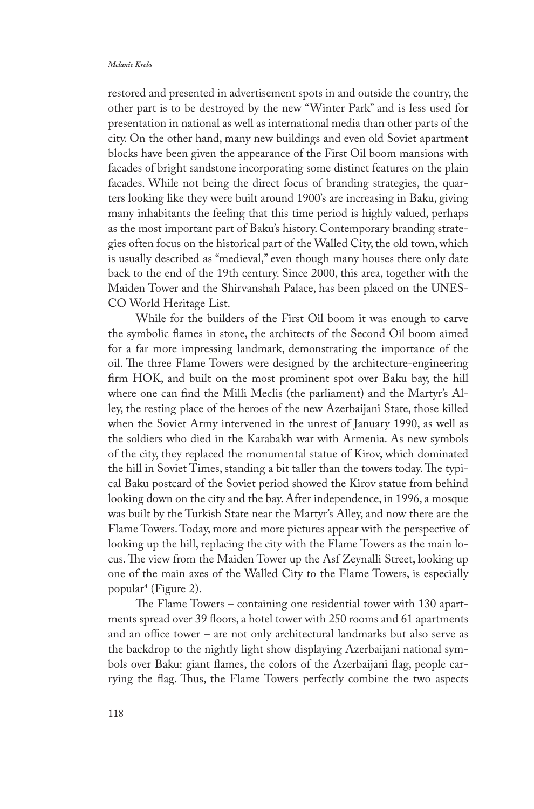restored and presented in advertisement spots in and outside the country, the other part is to be destroyed by the new "Winter Park" and is less used for presentation in national as well as international media than other parts of the city. On the other hand, many new buildings and even old Soviet apartment blocks have been given the appearance of the First Oil boom mansions with facades of bright sandstone incorporating some distinct features on the plain facades. While not being the direct focus of branding strategies, the quarters looking like they were built around 1900's are increasing in Baku, giving many inhabitants the feeling that this time period is highly valued, perhaps as the most important part of Baku's history. Contemporary branding strategies often focus on the historical part of the Walled City, the old town, which is usually described as "medieval," even though many houses there only date back to the end of the 19th century. Since 2000, this area, together with the Maiden Tower and the Shirvanshah Palace, has been placed on the UNES-CO World Heritage List.

While for the builders of the First Oil boom it was enough to carve the symbolic flames in stone, the architects of the Second Oil boom aimed for a far more impressing landmark, demonstrating the importance of the oil. The three Flame Towers were designed by the architecture-engineering firm HOK, and built on the most prominent spot over Baku bay, the hill where one can find the Milli Meclis (the parliament) and the Martyr's Alley, the resting place of the heroes of the new Azerbaijani State, those killed when the Soviet Army intervened in the unrest of January 1990, as well as the soldiers who died in the Karabakh war with Armenia. As new symbols of the city, they replaced the monumental statue of Kirov, which dominated the hill in Soviet Times, standing a bit taller than the towers today. The typical Baku postcard of the Soviet period showed the Kirov statue from behind looking down on the city and the bay. After independence, in 1996, a mosque was built by the Turkish State near the Martyr's Alley, and now there are the Flame Towers. Today, more and more pictures appear with the perspective of looking up the hill, replacing the city with the Flame Towers as the main locus. The view from the Maiden Tower up the Asf Zeynalli Street, looking up one of the main axes of the Walled City to the Flame Towers, is especially popular4 (Figure 2).

The Flame Towers – containing one residential tower with 130 apartments spread over 39 floors, a hotel tower with 250 rooms and 61 apartments and an office tower – are not only architectural landmarks but also serve as the backdrop to the nightly light show displaying Azerbaijani national symbols over Baku: giant flames, the colors of the Azerbaijani flag, people carrying the flag. Thus, the Flame Towers perfectly combine the two aspects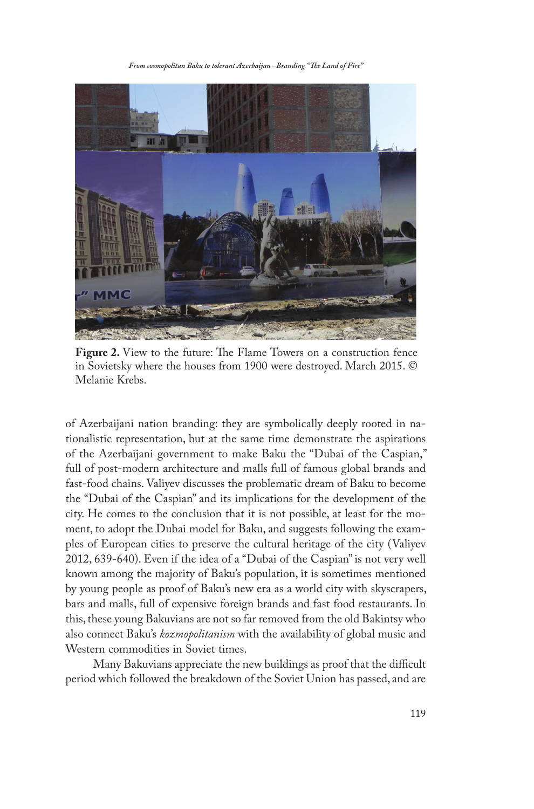*From cosmopolitan Baku to tolerant Azerbaijan –Branding "The Land of Fire"* 



**Figure 2.** View to the future: The Flame Towers on a construction fence in Sovietsky where the houses from 1900 were destroyed. March 2015. © Melanie Krebs.

of Azerbaijani nation branding: they are symbolically deeply rooted in nationalistic representation, but at the same time demonstrate the aspirations of the Azerbaijani government to make Baku the "Dubai of the Caspian," full of post-modern architecture and malls full of famous global brands and fast-food chains. Valiyev discusses the problematic dream of Baku to become the "Dubai of the Caspian" and its implications for the development of the city. He comes to the conclusion that it is not possible, at least for the moment, to adopt the Dubai model for Baku, and suggests following the examples of European cities to preserve the cultural heritage of the city (Valiyev 2012, 639-640). Even if the idea of a "Dubai of the Caspian" is not very well known among the majority of Baku's population, it is sometimes mentioned by young people as proof of Baku's new era as a world city with skyscrapers, bars and malls, full of expensive foreign brands and fast food restaurants. In this, these young Bakuvians are not so far removed from the old Bakintsy who also connect Baku's *kozmopolitanism* with the availability of global music and Western commodities in Soviet times.

Many Bakuvians appreciate the new buildings as proof that the difficult period which followed the breakdown of the Soviet Union has passed, and are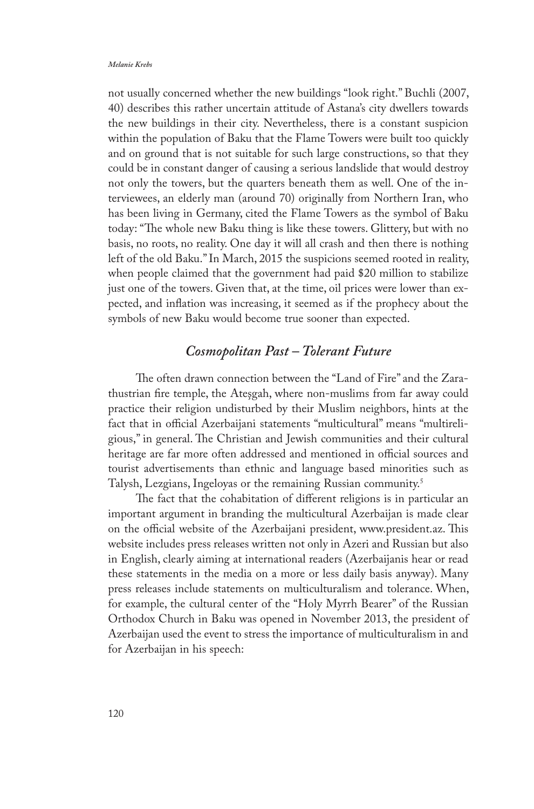not usually concerned whether the new buildings "look right." Buchli (2007, 40) describes this rather uncertain attitude of Astana's city dwellers towards the new buildings in their city. Nevertheless, there is a constant suspicion within the population of Baku that the Flame Towers were built too quickly and on ground that is not suitable for such large constructions, so that they could be in constant danger of causing a serious landslide that would destroy not only the towers, but the quarters beneath them as well. One of the interviewees, an elderly man (around 70) originally from Northern Iran, who has been living in Germany, cited the Flame Towers as the symbol of Baku today: "The whole new Baku thing is like these towers. Glittery, but with no basis, no roots, no reality. One day it will all crash and then there is nothing left of the old Baku." In March, 2015 the suspicions seemed rooted in reality, when people claimed that the government had paid \$20 million to stabilize just one of the towers. Given that, at the time, oil prices were lower than expected, and inflation was increasing, it seemed as if the prophecy about the symbols of new Baku would become true sooner than expected.

## *Cosmopolitan Past – Tolerant Future*

The often drawn connection between the "Land of Fire" and the Zarathustrian fire temple, the Ateşgah, where non-muslims from far away could practice their religion undisturbed by their Muslim neighbors, hints at the fact that in official Azerbaijani statements "multicultural" means "multireligious," in general. The Christian and Jewish communities and their cultural heritage are far more often addressed and mentioned in official sources and tourist advertisements than ethnic and language based minorities such as Talysh, Lezgians, Ingeloyas or the remaining Russian community.5

The fact that the cohabitation of different religions is in particular an important argument in branding the multicultural Azerbaijan is made clear on the official website of the Azerbaijani president, www.president.az. This website includes press releases written not only in Azeri and Russian but also in English, clearly aiming at international readers (Azerbaijanis hear or read these statements in the media on a more or less daily basis anyway). Many press releases include statements on multiculturalism and tolerance. When, for example, the cultural center of the "Holy Myrrh Bearer" of the Russian Orthodox Church in Baku was opened in November 2013, the president of Azerbaijan used the event to stress the importance of multiculturalism in and for Azerbaijan in his speech: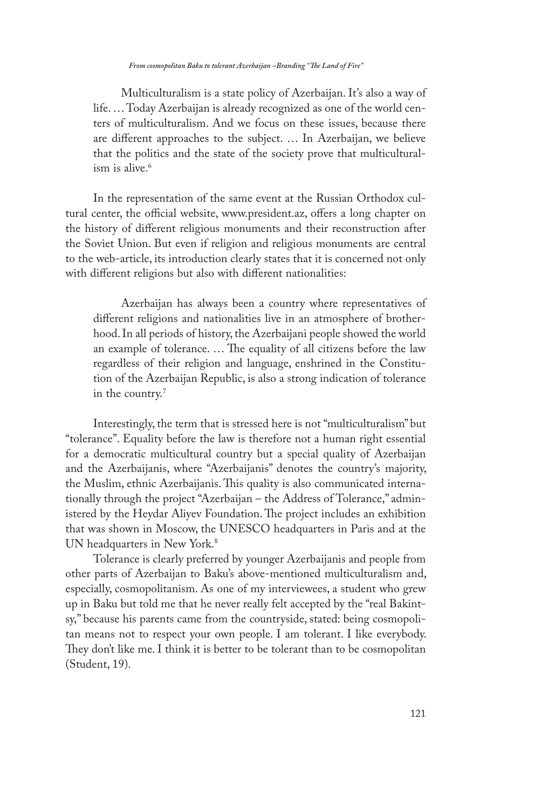Multiculturalism is a state policy of Azerbaijan. It's also a way of life. … Today Azerbaijan is already recognized as one of the world centers of multiculturalism. And we focus on these issues, because there are different approaches to the subject. … In Azerbaijan, we believe that the politics and the state of the society prove that multiculturalism is alive.<sup>6</sup>

In the representation of the same event at the Russian Orthodox cultural center, the official website, www.president.az, offers a long chapter on the history of different religious monuments and their reconstruction after the Soviet Union. But even if religion and religious monuments are central to the web-article, its introduction clearly states that it is concerned not only with different religions but also with different nationalities:

Azerbaijan has always been a country where representatives of different religions and nationalities live in an atmosphere of brotherhood. In all periods of history, the Azerbaijani people showed the world an example of tolerance. … The equality of all citizens before the law regardless of their religion and language, enshrined in the Constitution of the Azerbaijan Republic, is also a strong indication of tolerance in the country.7

Interestingly, the term that is stressed here is not "multiculturalism" but "tolerance". Equality before the law is therefore not a human right essential for a democratic multicultural country but a special quality of Azerbaijan and the Azerbaijanis, where "Azerbaijanis" denotes the country's majority, the Muslim, ethnic Azerbaijanis. This quality is also communicated internationally through the project "Azerbaijan – the Address of Tolerance," administered by the Heydar Aliyev Foundation. The project includes an exhibition that was shown in Moscow, the UNESCO headquarters in Paris and at the UN headquarters in New York.<sup>8</sup>

Tolerance is clearly preferred by younger Azerbaijanis and people from other parts of Azerbaijan to Baku's above-mentioned multiculturalism and, especially, cosmopolitanism. As one of my interviewees, a student who grew up in Baku but told me that he never really felt accepted by the "real Bakintsy," because his parents came from the countryside, stated: being cosmopolitan means not to respect your own people. I am tolerant. I like everybody. They don't like me. I think it is better to be tolerant than to be cosmopolitan (Student, 19).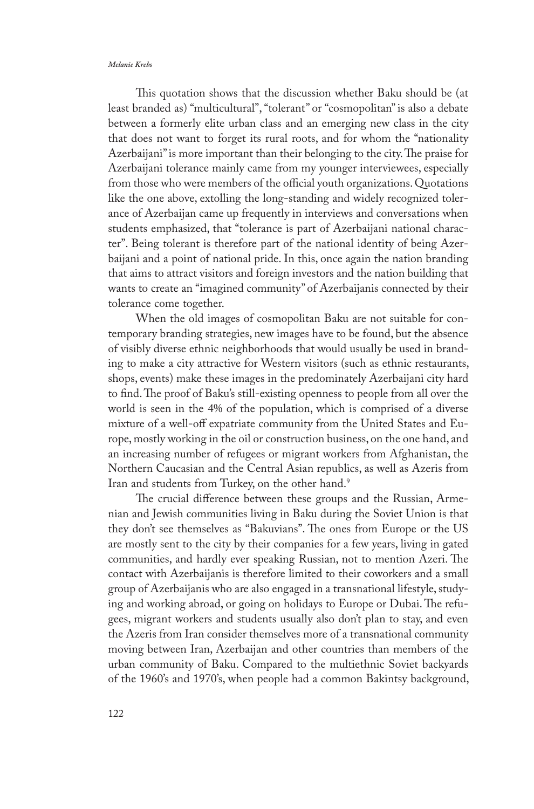This quotation shows that the discussion whether Baku should be (at least branded as) "multicultural", "tolerant" or "cosmopolitan" is also a debate between a formerly elite urban class and an emerging new class in the city that does not want to forget its rural roots, and for whom the "nationality Azerbaijani" is more important than their belonging to the city. The praise for Azerbaijani tolerance mainly came from my younger interviewees, especially from those who were members of the official youth organizations. Quotations like the one above, extolling the long-standing and widely recognized tolerance of Azerbaijan came up frequently in interviews and conversations when students emphasized, that "tolerance is part of Azerbaijani national character". Being tolerant is therefore part of the national identity of being Azerbaijani and a point of national pride. In this, once again the nation branding that aims to attract visitors and foreign investors and the nation building that wants to create an "imagined community" of Azerbaijanis connected by their tolerance come together.

When the old images of cosmopolitan Baku are not suitable for contemporary branding strategies, new images have to be found, but the absence of visibly diverse ethnic neighborhoods that would usually be used in branding to make a city attractive for Western visitors (such as ethnic restaurants, shops, events) make these images in the predominately Azerbaijani city hard to find. The proof of Baku's still-existing openness to people from all over the world is seen in the 4% of the population, which is comprised of a diverse mixture of a well-off expatriate community from the United States and Europe, mostly working in the oil or construction business, on the one hand, and an increasing number of refugees or migrant workers from Afghanistan, the Northern Caucasian and the Central Asian republics, as well as Azeris from Iran and students from Turkey, on the other hand.<sup>9</sup>

The crucial difference between these groups and the Russian, Armenian and Jewish communities living in Baku during the Soviet Union is that they don't see themselves as "Bakuvians". The ones from Europe or the US are mostly sent to the city by their companies for a few years, living in gated communities, and hardly ever speaking Russian, not to mention Azeri. The contact with Azerbaijanis is therefore limited to their coworkers and a small group of Azerbaijanis who are also engaged in a transnational lifestyle, studying and working abroad, or going on holidays to Europe or Dubai. The refugees, migrant workers and students usually also don't plan to stay, and even the Azeris from Iran consider themselves more of a transnational community moving between Iran, Azerbaijan and other countries than members of the urban community of Baku. Compared to the multiethnic Soviet backyards of the 1960's and 1970's, when people had a common Bakintsy background,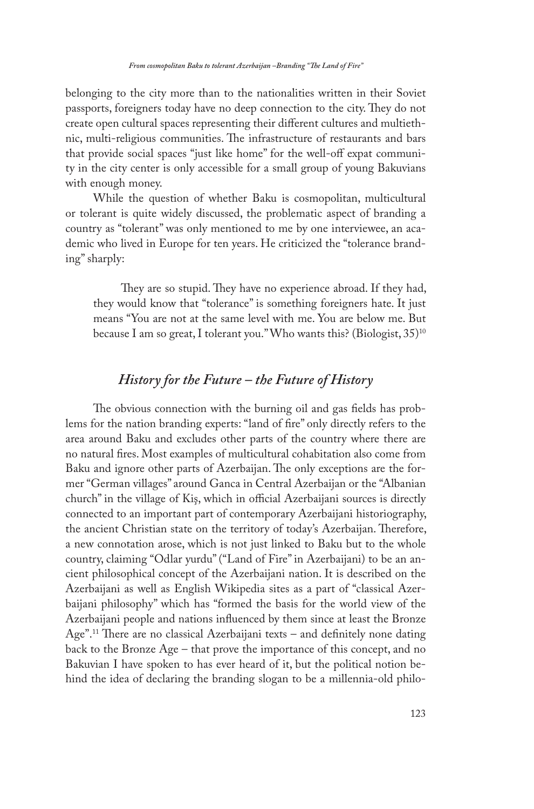belonging to the city more than to the nationalities written in their Soviet passports, foreigners today have no deep connection to the city. They do not create open cultural spaces representing their different cultures and multiethnic, multi-religious communities. The infrastructure of restaurants and bars that provide social spaces "just like home" for the well-off expat community in the city center is only accessible for a small group of young Bakuvians with enough money.

While the question of whether Baku is cosmopolitan, multicultural or tolerant is quite widely discussed, the problematic aspect of branding a country as "tolerant" was only mentioned to me by one interviewee, an academic who lived in Europe for ten years. He criticized the "tolerance branding" sharply:

They are so stupid. They have no experience abroad. If they had, they would know that "tolerance" is something foreigners hate. It just means "You are not at the same level with me. You are below me. But because I am so great, I tolerant you." Who wants this? (Biologist, 35)<sup>10</sup>

### *History for the Future – the Future of History*

The obvious connection with the burning oil and gas fields has problems for the nation branding experts: "land of fire" only directly refers to the area around Baku and excludes other parts of the country where there are no natural fires. Most examples of multicultural cohabitation also come from Baku and ignore other parts of Azerbaijan. The only exceptions are the former "German villages" around Ganca in Central Azerbaijan or the "Albanian church" in the village of Kiş, which in official Azerbaijani sources is directly connected to an important part of contemporary Azerbaijani historiography, the ancient Christian state on the territory of today's Azerbaijan. Therefore, a new connotation arose, which is not just linked to Baku but to the whole country, claiming "Odlar yurdu" ("Land of Fire" in Azerbaijani) to be an ancient philosophical concept of the Azerbaijani nation. It is described on the Azerbaijani as well as English Wikipedia sites as a part of "classical Azerbaijani philosophy" which has "formed the basis for the world view of the Azerbaijani people and nations influenced by them since at least the Bronze Age".11 There are no classical Azerbaijani texts – and definitely none dating back to the Bronze Age – that prove the importance of this concept, and no Bakuvian I have spoken to has ever heard of it, but the political notion behind the idea of declaring the branding slogan to be a millennia-old philo-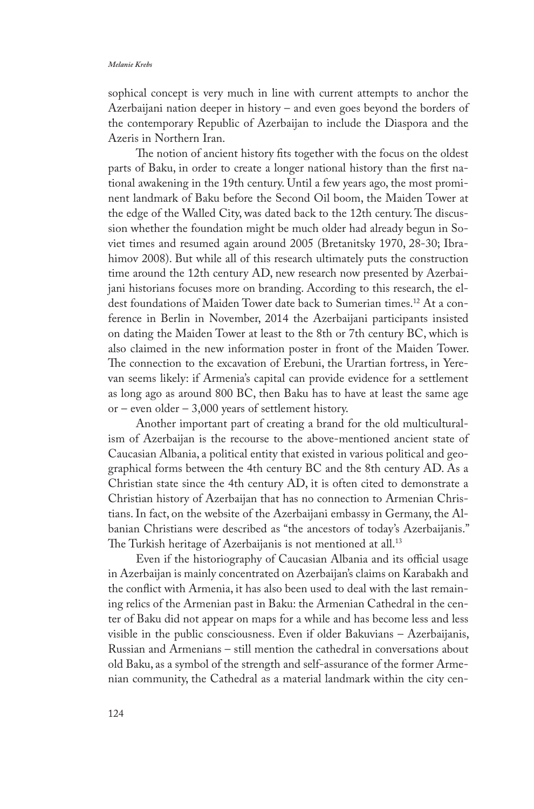sophical concept is very much in line with current attempts to anchor the Azerbaijani nation deeper in history – and even goes beyond the borders of the contemporary Republic of Azerbaijan to include the Diaspora and the Azeris in Northern Iran.

The notion of ancient history fits together with the focus on the oldest parts of Baku, in order to create a longer national history than the first national awakening in the 19th century. Until a few years ago, the most prominent landmark of Baku before the Second Oil boom, the Maiden Tower at the edge of the Walled City, was dated back to the 12th century. The discussion whether the foundation might be much older had already begun in Soviet times and resumed again around 2005 (Bretanitsky 1970, 28-30; Ibrahimov 2008). But while all of this research ultimately puts the construction time around the 12th century AD, new research now presented by Azerbaijani historians focuses more on branding. According to this research, the eldest foundations of Maiden Tower date back to Sumerian times.12 At a conference in Berlin in November, 2014 the Azerbaijani participants insisted on dating the Maiden Tower at least to the 8th or 7th century BC, which is also claimed in the new information poster in front of the Maiden Tower. The connection to the excavation of Erebuni, the Urartian fortress, in Yerevan seems likely: if Armenia's capital can provide evidence for a settlement as long ago as around 800 BC, then Baku has to have at least the same age or – even older – 3,000 years of settlement history.

Another important part of creating a brand for the old multiculturalism of Azerbaijan is the recourse to the above-mentioned ancient state of Caucasian Albania, a political entity that existed in various political and geographical forms between the 4th century BC and the 8th century AD. As a Christian state since the 4th century AD, it is often cited to demonstrate a Christian history of Azerbaijan that has no connection to Armenian Christians. In fact, on the website of the Azerbaijani embassy in Germany, the Albanian Christians were described as "the ancestors of today's Azerbaijanis." The Turkish heritage of Azerbaijanis is not mentioned at all.<sup>13</sup>

Even if the historiography of Caucasian Albania and its official usage in Azerbaijan is mainly concentrated on Azerbaijan's claims on Karabakh and the conflict with Armenia, it has also been used to deal with the last remaining relics of the Armenian past in Baku: the Armenian Cathedral in the center of Baku did not appear on maps for a while and has become less and less visible in the public consciousness. Even if older Bakuvians – Azerbaijanis, Russian and Armenians – still mention the cathedral in conversations about old Baku, as a symbol of the strength and self-assurance of the former Armenian community, the Cathedral as a material landmark within the city cen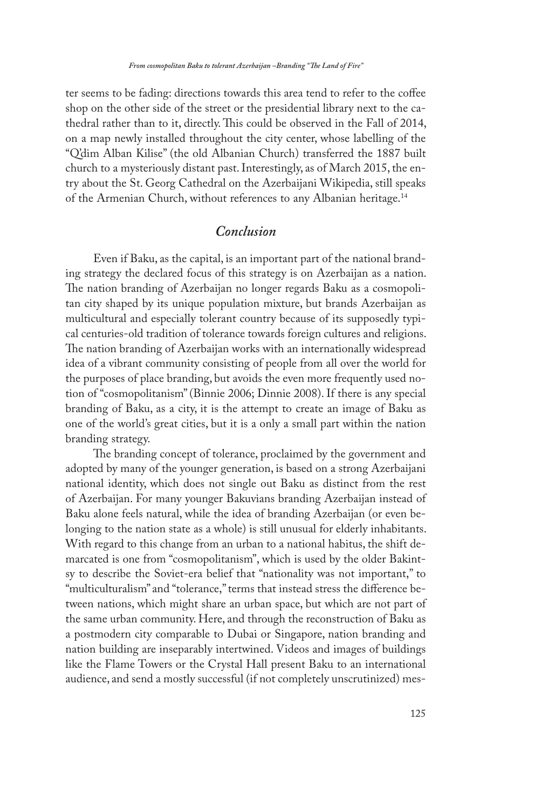ter seems to be fading: directions towards this area tend to refer to the coffee shop on the other side of the street or the presidential library next to the cathedral rather than to it, directly. This could be observed in the Fall of 2014, on a map newly installed throughout the city center, whose labelling of the "Q'dim Alban Kilise" (the old Albanian Church) transferred the 1887 built church to a mysteriously distant past. Interestingly, as of March 2015, the entry about the St. Georg Cathedral on the Azerbaijani Wikipedia, still speaks of the Armenian Church, without references to any Albanian heritage.14

### *Conclusion*

Even if Baku, as the capital, is an important part of the national branding strategy the declared focus of this strategy is on Azerbaijan as a nation. The nation branding of Azerbaijan no longer regards Baku as a cosmopolitan city shaped by its unique population mixture, but brands Azerbaijan as multicultural and especially tolerant country because of its supposedly typical centuries-old tradition of tolerance towards foreign cultures and religions. The nation branding of Azerbaijan works with an internationally widespread idea of a vibrant community consisting of people from all over the world for the purposes of place branding, but avoids the even more frequently used notion of "cosmopolitanism" (Binnie 2006; Dinnie 2008). If there is any special branding of Baku, as a city, it is the attempt to create an image of Baku as one of the world's great cities, but it is a only a small part within the nation branding strategy.

The branding concept of tolerance, proclaimed by the government and adopted by many of the younger generation, is based on a strong Azerbaijani national identity, which does not single out Baku as distinct from the rest of Azerbaijan. For many younger Bakuvians branding Azerbaijan instead of Baku alone feels natural, while the idea of branding Azerbaijan (or even belonging to the nation state as a whole) is still unusual for elderly inhabitants. With regard to this change from an urban to a national habitus, the shift demarcated is one from "cosmopolitanism", which is used by the older Bakintsy to describe the Soviet-era belief that "nationality was not important," to "multiculturalism" and "tolerance," terms that instead stress the difference between nations, which might share an urban space, but which are not part of the same urban community. Here, and through the reconstruction of Baku as a postmodern city comparable to Dubai or Singapore, nation branding and nation building are inseparably intertwined. Videos and images of buildings like the Flame Towers or the Crystal Hall present Baku to an international audience, and send a mostly successful (if not completely unscrutinized) mes-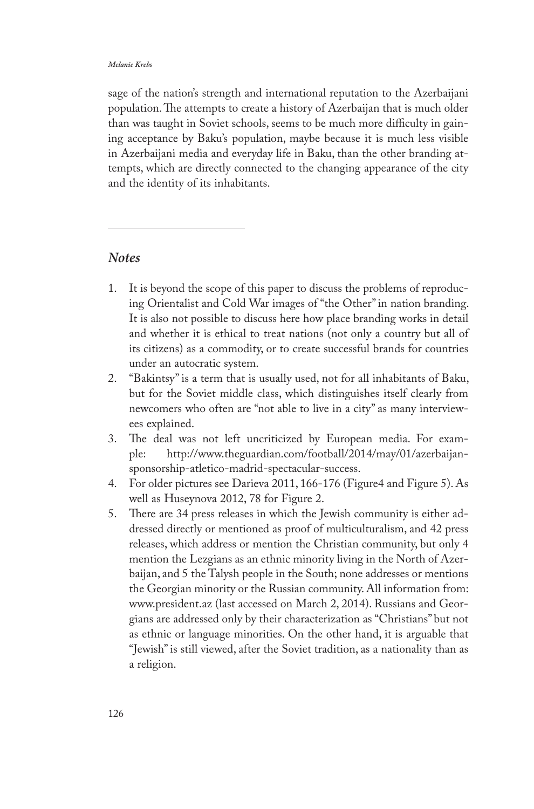sage of the nation's strength and international reputation to the Azerbaijani population. The attempts to create a history of Azerbaijan that is much older than was taught in Soviet schools, seems to be much more difficulty in gaining acceptance by Baku's population, maybe because it is much less visible in Azerbaijani media and everyday life in Baku, than the other branding attempts, which are directly connected to the changing appearance of the city and the identity of its inhabitants.

### *Notes*

- 1. It is beyond the scope of this paper to discuss the problems of reproducing Orientalist and Cold War images of "the Other" in nation branding. It is also not possible to discuss here how place branding works in detail and whether it is ethical to treat nations (not only a country but all of its citizens) as a commodity, or to create successful brands for countries under an autocratic system.
- 2. "Bakintsy" is a term that is usually used, not for all inhabitants of Baku, but for the Soviet middle class, which distinguishes itself clearly from newcomers who often are "not able to live in a city" as many interviewees explained.
- 3. The deal was not left uncriticized by European media. For example: http://www.theguardian.com/football/2014/may/01/azerbaijansponsorship-atletico-madrid-spectacular-success.
- 4. For older pictures see Darieva 2011, 166-176 (Figure4 and Figure 5). As well as Huseynova 2012, 78 for Figure 2.
- 5. There are 34 press releases in which the Jewish community is either addressed directly or mentioned as proof of multiculturalism, and 42 press releases, which address or mention the Christian community, but only 4 mention the Lezgians as an ethnic minority living in the North of Azerbaijan, and 5 the Talysh people in the South; none addresses or mentions the Georgian minority or the Russian community. All information from: www.president.az (last accessed on March 2, 2014). Russians and Georgians are addressed only by their characterization as "Christians" but not as ethnic or language minorities. On the other hand, it is arguable that "Jewish" is still viewed, after the Soviet tradition, as a nationality than as a religion.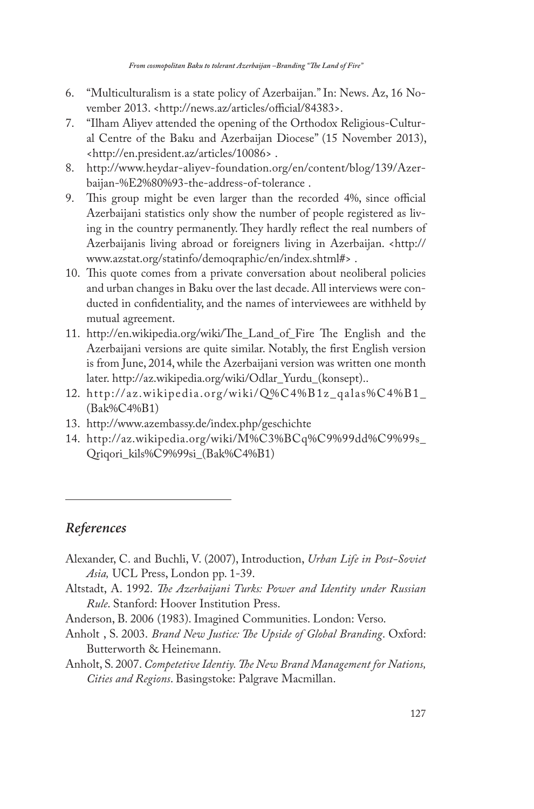- 6. "Multiculturalism is a state policy of Azerbaijan." In: News. Az, 16 November 2013. <http://news.az/articles/official/84383>.
- 7. "Ilham Aliyev attended the opening of the Orthodox Religious-Cultural Centre of the Baku and Azerbaijan Diocese" (15 November 2013), <http://en.president.az/articles/10086> .
- 8. http://www.heydar-aliyev-foundation.org/en/content/blog/139/Azerbaijan-%E2%80%93-the-address-of-tolerance .
- 9. This group might be even larger than the recorded 4%, since official Azerbaijani statistics only show the number of people registered as living in the country permanently. They hardly reflect the real numbers of Azerbaijanis living abroad or foreigners living in Azerbaijan. <http:// www.azstat.org/statinfo/demoqraphic/en/index.shtml#> .
- 10. This quote comes from a private conversation about neoliberal policies and urban changes in Baku over the last decade. All interviews were conducted in confidentiality, and the names of interviewees are withheld by mutual agreement.
- 11. http://en.wikipedia.org/wiki/The\_Land\_of\_Fire The English and the Azerbaijani versions are quite similar. Notably, the first English version is from June, 2014, while the Azerbaijani version was written one month later. http://az.wikipedia.org/wiki/Odlar\_Yurdu\_(konsept)..
- 12. http://az.wikipedia.org/wiki/Q%C4%B1z\_qalas%C4%B1\_ (Bak%C4%B1)
- 13. http://www.azembassy.de/index.php/geschichte
- 14. http://az.wikipedia.org/wiki/M%C3%BCq%C9%99dd%C9%99s\_ Qriqori\_kils%C9%99si\_(Bak%C4%B1)

## *References*

- Alexander, C. and Buchli, V. (2007), Introduction, *Urban Life in Post-Soviet Asia,* UCL Press, London pp. 1-39.
- Altstadt, A. 1992. *The Azerbaijani Turks: Power and Identity under Russian Rule*. Stanford: Hoover Institution Press.

Anderson, B. 2006 (1983). Imagined Communities. London: Verso.

- Anholt , S. 2003. *Brand New Justice: The Upside of Global Branding*. Oxford: Butterworth & Heinemann.
- Anholt, S. 2007. *Competetive Identiy. The New Brand Management for Nations, Cities and Regions*. Basingstoke: Palgrave Macmillan.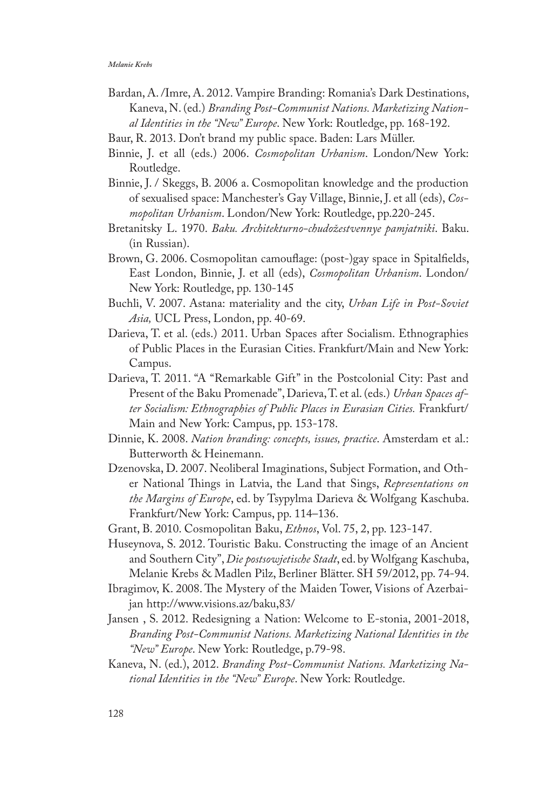- Bardan, A. /Imre, A. 2012. Vampire Branding: Romania's Dark Destinations, Kaneva, N. (ed.) *Branding Post-Communist Nations. Marketizing National Identities in the "New" Europe*. New York: Routledge, pp. 168-192.
- Baur, R. 2013. Don't brand my public space. Baden: Lars Müller.
- Binnie, J. et all (eds.) 2006. *Cosmopolitan Urbanism*. London/New York: Routledge.
- Binnie, J. / Skeggs, B. 2006 a. Cosmopolitan knowledge and the production of sexualised space: Manchester's Gay Village, Binnie, J. et all (eds), *Cosmopolitan Urbanism*. London/New York: Routledge, pp.220-245.
- Bretanitsky L. 1970. *Baku. Architekturno-chudožestvennye pamjatniki*. Baku. (in Russian).
- Brown, G. 2006. Cosmopolitan camouflage: (post-)gay space in Spitalfields, East London, Binnie, J. et all (eds), *Cosmopolitan Urbanism*. London/ New York: Routledge, pp. 130-145
- Buchli, V. 2007. Astana: materiality and the city, *Urban Life in Post-Soviet Asia,* UCL Press, London, pp. 40-69.
- Darieva, T. et al. (eds.) 2011. Urban Spaces after Socialism. Ethnographies of Public Places in the Eurasian Cities. Frankfurt/Main and New York: Campus.
- Darieva, T. 2011. "A "Remarkable Gift" in the Postcolonial City: Past and Present of the Baku Promenade", Darieva, T. et al. (eds.) *Urban Spaces after Socialism: Ethnographies of Public Places in Eurasian Cities.* Frankfurt/ Main and New York: Campus, pp. 153-178.
- Dinnie, K. 2008. *Nation branding: concepts, issues, practice*. Amsterdam et al.: Butterworth & Heinemann.
- Dzenovska, D. 2007. Neoliberal Imaginations, Subject Formation, and Other National Things in Latvia, the Land that Sings, *Representations on the Margins of Europe*, ed. by Tsypylma Darieva & Wolfgang Kaschuba. Frankfurt/New York: Campus, pp. 114–136.
- Grant, B. 2010. Cosmopolitan Baku, *Ethnos*, Vol. 75, 2, pp. 123-147.
- Huseynova, S. 2012. Touristic Baku. Constructing the image of an Ancient and Southern City", *Die postsowjetische Stadt*, ed. by Wolfgang Kaschuba, Melanie Krebs & Madlen Pilz, Berliner Blätter. SH 59/2012, pp. 74-94.
- Ibragimov, K. 2008. The Mystery of the Maiden Tower, Visions of Azerbaijan http://www.visions.az/baku,83/
- Jansen , S. 2012. Redesigning a Nation: Welcome to E-stonia, 2001-2018, *Branding Post-Communist Nations. Marketizing National Identities in the "New" Europe*. New York: Routledge, p.79-98.
- Kaneva, N. (ed.), 2012. *Branding Post-Communist Nations. Marketizing National Identities in the "New" Europe*. New York: Routledge.